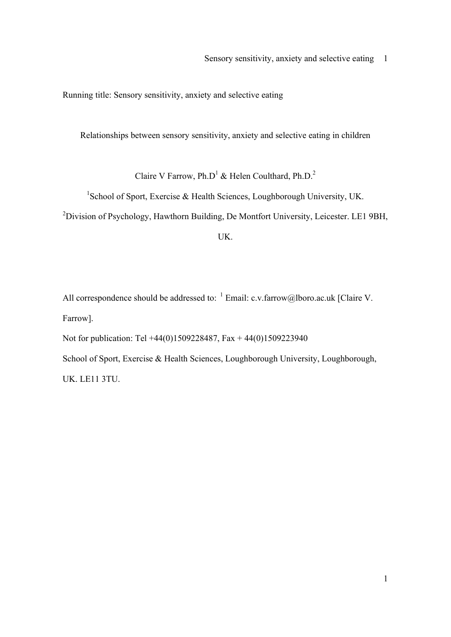Running title: Sensory sensitivity, anxiety and selective eating

Relationships between sensory sensitivity, anxiety and selective eating in children

Claire V Farrow, Ph.D<sup>1</sup> & Helen Coulthard, Ph.D.<sup>2</sup>

<sup>1</sup>School of Sport, Exercise & Health Sciences, Loughborough University, UK.

<sup>2</sup>Division of Psychology, Hawthorn Building, De Montfort University, Leicester. LE1 9BH,

UK.

All correspondence should be addressed to:  $^{-1}$  Email: c.v.farrow@lboro.ac.uk [Claire V. Farrow].

Not for publication: Tel +44(0)1509228487, Fax + 44(0)1509223940

School of Sport, Exercise & Health Sciences, Loughborough University, Loughborough, UK. LE11 3TU.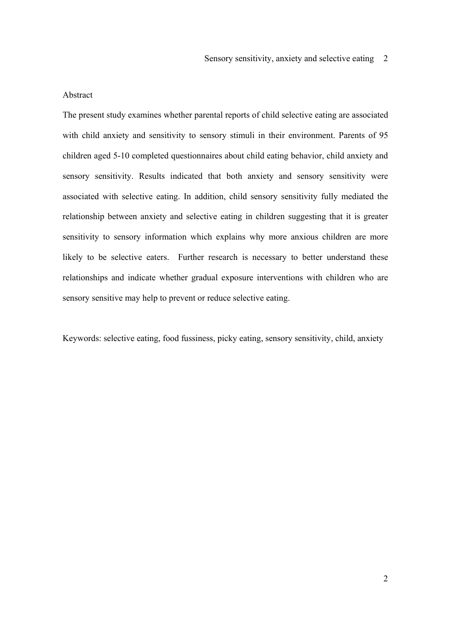Sensory sensitivity, anxiety and selective eating 2

## Abstract

The present study examines whether parental reports of child selective eating are associated with child anxiety and sensitivity to sensory stimuli in their environment. Parents of 95 children aged 5-10 completed questionnaires about child eating behavior, child anxiety and sensory sensitivity. Results indicated that both anxiety and sensory sensitivity were associated with selective eating. In addition, child sensory sensitivity fully mediated the relationship between anxiety and selective eating in children suggesting that it is greater sensitivity to sensory information which explains why more anxious children are more likely to be selective eaters. Further research is necessary to better understand these relationships and indicate whether gradual exposure interventions with children who are sensory sensitive may help to prevent or reduce selective eating.

Keywords: selective eating, food fussiness, picky eating, sensory sensitivity, child, anxiety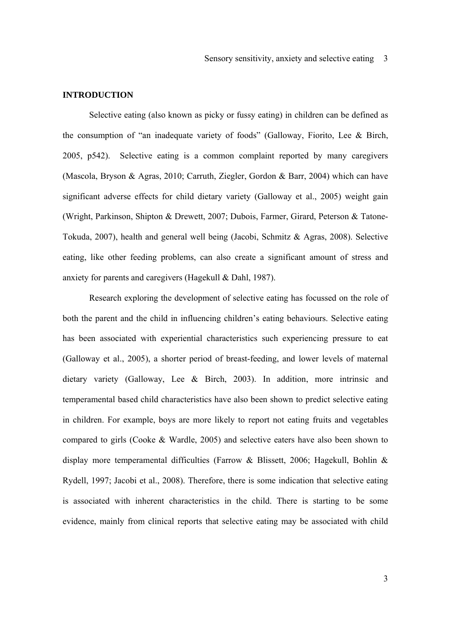## **INTRODUCTION**

Selective eating (also known as picky or fussy eating) in children can be defined as the consumption of "an inadequate variety of foods" (Galloway, Fiorito, Lee & Birch, 2005, p542). Selective eating is a common complaint reported by many caregivers (Mascola, Bryson & Agras, 2010; Carruth, Ziegler, Gordon & Barr, 2004) which can have significant adverse effects for child dietary variety (Galloway et al., 2005) weight gain (Wright, Parkinson, Shipton & Drewett, 2007; Dubois, Farmer, Girard, Peterson & Tatone-Tokuda, 2007), health and general well being (Jacobi, Schmitz & Agras, 2008). Selective eating, like other feeding problems, can also create a significant amount of stress and anxiety for parents and caregivers (Hagekull & Dahl, 1987).

Research exploring the development of selective eating has focussed on the role of both the parent and the child in influencing children's eating behaviours. Selective eating has been associated with experiential characteristics such experiencing pressure to eat (Galloway et al., 2005), a shorter period of breast-feeding, and lower levels of maternal dietary variety (Galloway, Lee & Birch, 2003). In addition, more intrinsic and temperamental based child characteristics have also been shown to predict selective eating in children. For example, boys are more likely to report not eating fruits and vegetables compared to girls (Cooke & Wardle, 2005) and selective eaters have also been shown to display more temperamental difficulties (Farrow & Blissett, 2006; Hagekull, Bohlin & Rydell, 1997; Jacobi et al., 2008). Therefore, there is some indication that selective eating is associated with inherent characteristics in the child. There is starting to be some evidence, mainly from clinical reports that selective eating may be associated with child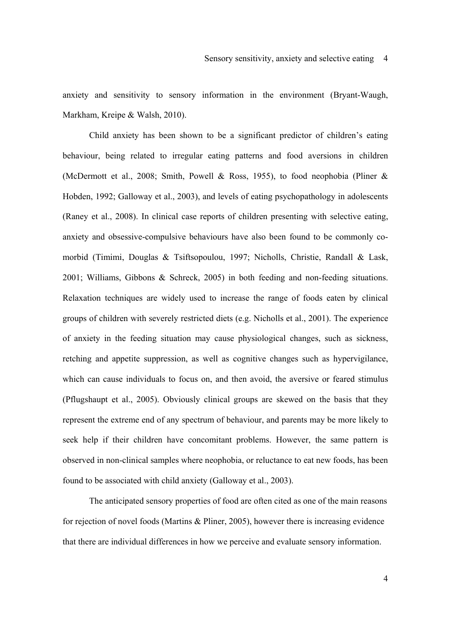anxiety and sensitivity to sensory information in the environment (Bryant-Waugh, Markham, Kreipe & Walsh, 2010).

Child anxiety has been shown to be a significant predictor of children's eating behaviour, being related to irregular eating patterns and food aversions in children (McDermott et al., 2008; Smith, Powell & Ross, 1955), to food neophobia (Pliner & Hobden, 1992; Galloway et al., 2003), and levels of eating psychopathology in adolescents (Raney et al., 2008). In clinical case reports of children presenting with selective eating, anxiety and obsessive-compulsive behaviours have also been found to be commonly comorbid (Timimi, Douglas & Tsiftsopoulou, 1997; Nicholls, Christie, Randall & Lask, 2001; Williams, Gibbons & Schreck, 2005) in both feeding and non-feeding situations. Relaxation techniques are widely used to increase the range of foods eaten by clinical groups of children with severely restricted diets (e.g. Nicholls et al., 2001). The experience of anxiety in the feeding situation may cause physiological changes, such as sickness, retching and appetite suppression, as well as cognitive changes such as hypervigilance, which can cause individuals to focus on, and then avoid, the aversive or feared stimulus (Pflugshaupt et al., 2005). Obviously clinical groups are skewed on the basis that they represent the extreme end of any spectrum of behaviour, and parents may be more likely to seek help if their children have concomitant problems. However, the same pattern is observed in non-clinical samples where neophobia, or reluctance to eat new foods, has been found to be associated with child anxiety (Galloway et al., 2003).

The anticipated sensory properties of food are often cited as one of the main reasons for rejection of novel foods (Martins & Pliner, 2005), however there is increasing evidence that there are individual differences in how we perceive and evaluate sensory information.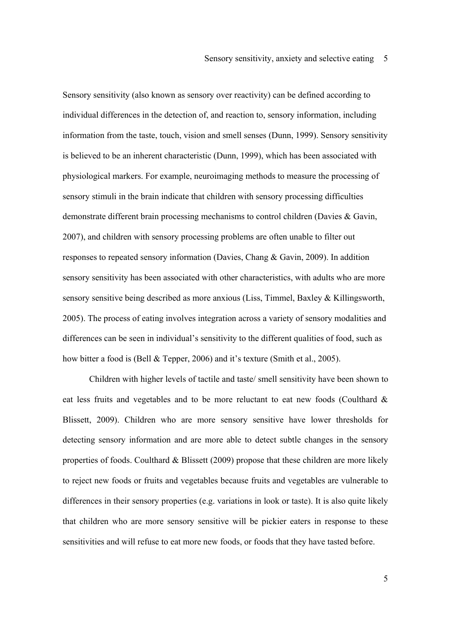Sensory sensitivity (also known as sensory over reactivity) can be defined according to individual differences in the detection of, and reaction to, sensory information, including information from the taste, touch, vision and smell senses (Dunn, 1999). Sensory sensitivity is believed to be an inherent characteristic (Dunn, 1999), which has been associated with physiological markers. For example, neuroimaging methods to measure the processing of sensory stimuli in the brain indicate that children with sensory processing difficulties demonstrate different brain processing mechanisms to control children (Davies & Gavin, 2007), and children with sensory processing problems are often unable to filter out responses to repeated sensory information (Davies, Chang & Gavin, 2009). In addition sensory sensitivity has been associated with other characteristics, with adults who are more sensory sensitive being described as more anxious (Liss, Timmel, Baxley & Killingsworth, 2005). The process of eating involves integration across a variety of sensory modalities and differences can be seen in individual's sensitivity to the different qualities of food, such as how bitter a food is (Bell & Tepper, 2006) and it's texture (Smith et al., 2005).

Children with higher levels of tactile and taste/ smell sensitivity have been shown to eat less fruits and vegetables and to be more reluctant to eat new foods (Coulthard & Blissett, 2009). Children who are more sensory sensitive have lower thresholds for detecting sensory information and are more able to detect subtle changes in the sensory properties of foods. Coulthard & Blissett (2009) propose that these children are more likely to reject new foods or fruits and vegetables because fruits and vegetables are vulnerable to differences in their sensory properties (e.g. variations in look or taste). It is also quite likely that children who are more sensory sensitive will be pickier eaters in response to these sensitivities and will refuse to eat more new foods, or foods that they have tasted before.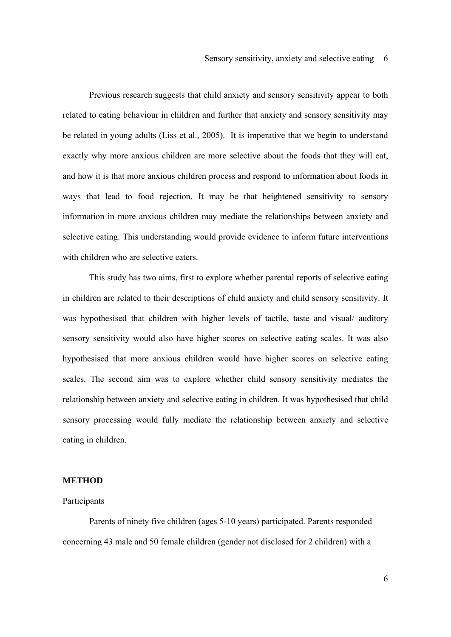Previous research suggests that child anxiety and sensory sensitivity appear to both related to eating behaviour in children and further that anxiety and sensory sensitivity may be related in young adults (Liss et al., 2005). It is imperative that we begin to understand exactly why more anxious children are more selective about the foods that they will eat, and how it is that more anxious children process and respond to information about foods in ways that lead to food rejection. It may be that heightened sensitivity to sensory information in more anxious children may mediate the relationships between anxiety and selective eating. This understanding would provide evidence to inform future interventions with children who are selective eaters.

This study has two aims, first to explore whether parental reports of selective eating in children are related to their descriptions of child anxiety and child sensory sensitivity. It was hypothesised that children with higher levels of tactile, taste and visual/ auditory sensory sensitivity would also have higher scores on selective eating scales. It was also hypothesised that more anxious children would have higher scores on selective eating scales. The second aim was to explore whether child sensory sensitivity mediates the relationship between anxiety and selective eating in children. It was hypothesised that child sensory processing would fully mediate the relationship between anxiety and selective eating in children.

## **METHOD**

### Participants

Parents of ninety five children (ages 5-10 years) participated. Parents responded concerning 43 male and 50 female children (gender not disclosed for 2 children) with a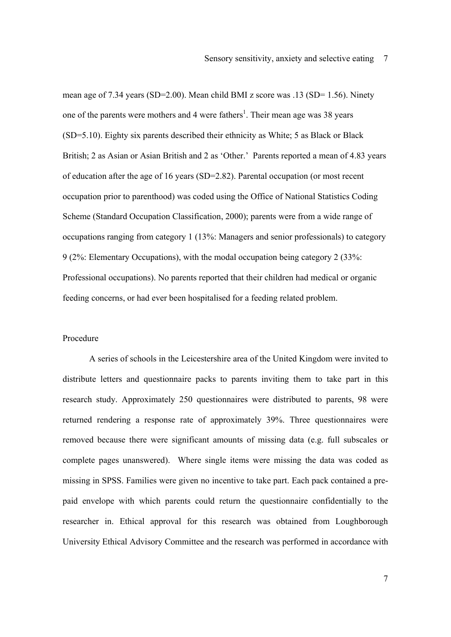mean age of 7.34 years (SD=2.00). Mean child BMI z score was .13 (SD= 1.56). Ninety one of the parents were mothers and 4 were fathers<sup>1</sup>. Their mean age was 38 years (SD=5.10). Eighty six parents described their ethnicity as White; 5 as Black or Black British; 2 as Asian or Asian British and 2 as 'Other.' Parents reported a mean of 4.83 years of education after the age of 16 years (SD=2.82). Parental occupation (or most recent occupation prior to parenthood) was coded using the Office of National Statistics Coding Scheme (Standard Occupation Classification, 2000); parents were from a wide range of occupations ranging from category 1 (13%: Managers and senior professionals) to category 9 (2%: Elementary Occupations), with the modal occupation being category 2 (33%: Professional occupations). No parents reported that their children had medical or organic feeding concerns, or had ever been hospitalised for a feeding related problem.

## Procedure

A series of schools in the Leicestershire area of the United Kingdom were invited to distribute letters and questionnaire packs to parents inviting them to take part in this research study. Approximately 250 questionnaires were distributed to parents, 98 were returned rendering a response rate of approximately 39%. Three questionnaires were removed because there were significant amounts of missing data (e.g. full subscales or complete pages unanswered). Where single items were missing the data was coded as missing in SPSS. Families were given no incentive to take part. Each pack contained a prepaid envelope with which parents could return the questionnaire confidentially to the researcher in. Ethical approval for this research was obtained from Loughborough University Ethical Advisory Committee and the research was performed in accordance with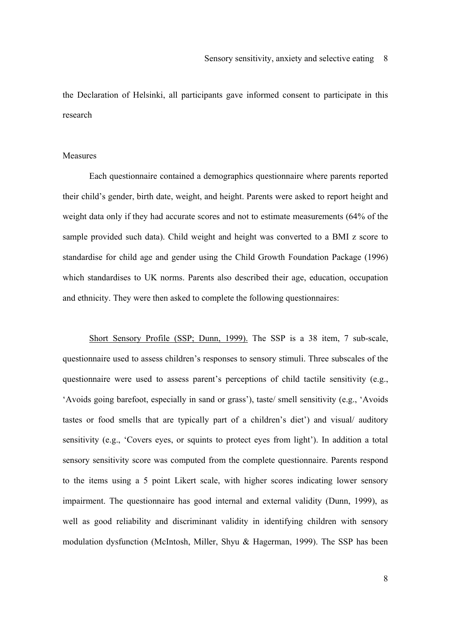the Declaration of Helsinki, all participants gave informed consent to participate in this research

# Measures

Each questionnaire contained a demographics questionnaire where parents reported their child's gender, birth date, weight, and height. Parents were asked to report height and weight data only if they had accurate scores and not to estimate measurements (64% of the sample provided such data). Child weight and height was converted to a BMI z score to standardise for child age and gender using the Child Growth Foundation Package (1996) which standardises to UK norms. Parents also described their age, education, occupation and ethnicity. They were then asked to complete the following questionnaires:

Short Sensory Profile (SSP; Dunn, 1999). The SSP is a 38 item, 7 sub-scale, questionnaire used to assess children's responses to sensory stimuli. Three subscales of the questionnaire were used to assess parent's perceptions of child tactile sensitivity (e.g., 'Avoids going barefoot, especially in sand or grass'), taste/ smell sensitivity (e.g., 'Avoids tastes or food smells that are typically part of a children's diet') and visual/ auditory sensitivity (e.g., 'Covers eyes, or squints to protect eyes from light'). In addition a total sensory sensitivity score was computed from the complete questionnaire. Parents respond to the items using a 5 point Likert scale, with higher scores indicating lower sensory impairment. The questionnaire has good internal and external validity (Dunn, 1999), as well as good reliability and discriminant validity in identifying children with sensory modulation dysfunction (McIntosh, Miller, Shyu & Hagerman, 1999). The SSP has been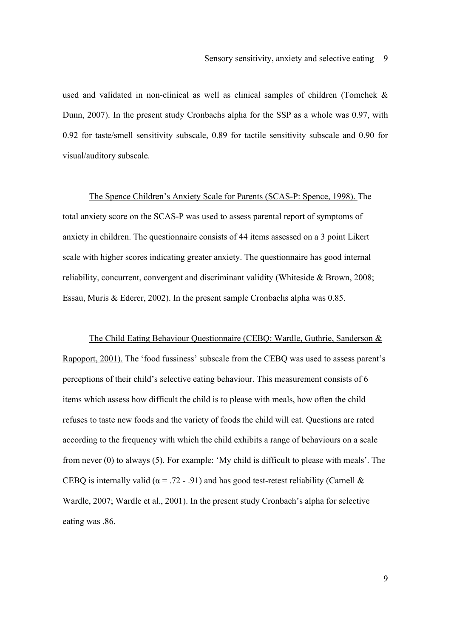used and validated in non-clinical as well as clinical samples of children (Tomchek & Dunn, 2007). In the present study Cronbachs alpha for the SSP as a whole was 0.97, with 0.92 for taste/smell sensitivity subscale, 0.89 for tactile sensitivity subscale and 0.90 for visual/auditory subscale.

The Spence Children's Anxiety Scale for Parents (SCAS-P: Spence, 1998). The total anxiety score on the SCAS-P was used to assess parental report of symptoms of anxiety in children. The questionnaire consists of 44 items assessed on a 3 point Likert scale with higher scores indicating greater anxiety. The questionnaire has good internal reliability, concurrent, convergent and discriminant validity (Whiteside & Brown, 2008; Essau, Muris & Ederer, 2002). In the present sample Cronbachs alpha was 0.85.

The Child Eating Behaviour Questionnaire (CEBQ: Wardle, Guthrie, Sanderson & Rapoport, 2001). The 'food fussiness' subscale from the CEBQ was used to assess parent's perceptions of their child's selective eating behaviour. This measurement consists of 6 items which assess how difficult the child is to please with meals, how often the child refuses to taste new foods and the variety of foods the child will eat. Questions are rated according to the frequency with which the child exhibits a range of behaviours on a scale from never (0) to always (5). For example: 'My child is difficult to please with meals'. The CEBQ is internally valid ( $\alpha$  = .72 - .91) and has good test-retest reliability (Carnell & Wardle, 2007; Wardle et al., 2001). In the present study Cronbach's alpha for selective eating was .86.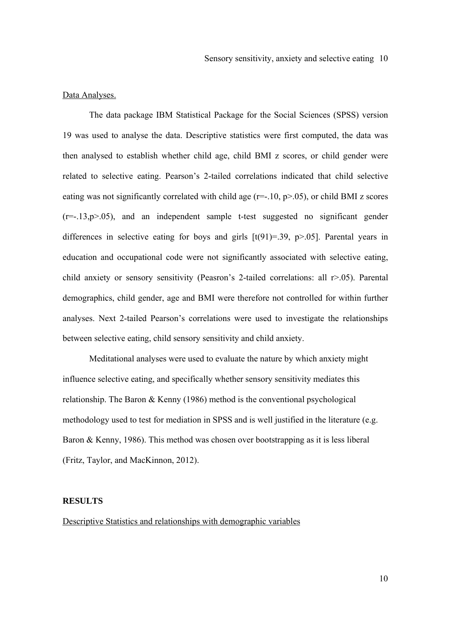## Data Analyses.

The data package IBM Statistical Package for the Social Sciences (SPSS) version 19 was used to analyse the data. Descriptive statistics were first computed, the data was then analysed to establish whether child age, child BMI z scores, or child gender were related to selective eating. Pearson's 2-tailed correlations indicated that child selective eating was not significantly correlated with child age  $(r=-.10, p>0.05)$ , or child BMI z scores  $(r=-13,p>05)$ , and an independent sample t-test suggested no significant gender differences in selective eating for boys and girls  $[t(91)=39, p>05]$ . Parental years in education and occupational code were not significantly associated with selective eating, child anxiety or sensory sensitivity (Peasron's 2-tailed correlations: all r>.05). Parental demographics, child gender, age and BMI were therefore not controlled for within further analyses. Next 2-tailed Pearson's correlations were used to investigate the relationships between selective eating, child sensory sensitivity and child anxiety.

Meditational analyses were used to evaluate the nature by which anxiety might influence selective eating, and specifically whether sensory sensitivity mediates this relationship. The Baron & Kenny (1986) method is the conventional psychological methodology used to test for mediation in SPSS and is well justified in the literature (e.g. Baron & Kenny, 1986). This method was chosen over bootstrapping as it is less liberal (Fritz, Taylor, and MacKinnon, 2012).

#### **RESULTS**

# Descriptive Statistics and relationships with demographic variables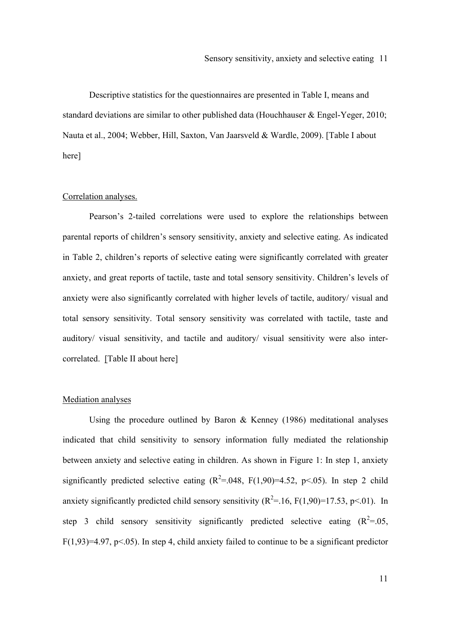Descriptive statistics for the questionnaires are presented in Table I, means and standard deviations are similar to other published data (Houchhauser & Engel-Yeger, 2010; Nauta et al., 2004; Webber, Hill, Saxton, Van Jaarsveld & Wardle, 2009). [Table I about here]

## Correlation analyses.

Pearson's 2-tailed correlations were used to explore the relationships between parental reports of children's sensory sensitivity, anxiety and selective eating. As indicated in Table 2, children's reports of selective eating were significantly correlated with greater anxiety, and great reports of tactile, taste and total sensory sensitivity. Children's levels of anxiety were also significantly correlated with higher levels of tactile, auditory/ visual and total sensory sensitivity. Total sensory sensitivity was correlated with tactile, taste and auditory/ visual sensitivity, and tactile and auditory/ visual sensitivity were also intercorrelated. [Table II about here]

#### Mediation analyses

Using the procedure outlined by Baron & Kenney (1986) meditational analyses indicated that child sensitivity to sensory information fully mediated the relationship between anxiety and selective eating in children. As shown in Figure 1: In step 1, anxiety significantly predicted selective eating  $(R^2 = 0.048, F(1, 90) = 4.52, p < 0.05)$ . In step 2 child anxiety significantly predicted child sensory sensitivity  $(R^2 = 16, F(1, 90) = 17.53, p \le 01)$ . In step 3 child sensory sensitivity significantly predicted selective eating  $(R^2 = 0.05, R^2 = 0.05, R^2 = 0.05, R^2 = 0.05, R^2 = 0.05, R^2 = 0.05, R^2 = 0.05, R^2 = 0.05, R^2 = 0.05, R^2 = 0.05, R^2 = 0.05, R^2 = 0.05, R^2 = 0.05, R^2 = 0.05, R^2 = 0$  $F(1,93)=4.97$ ,  $p<0.05$ ). In step 4, child anxiety failed to continue to be a significant predictor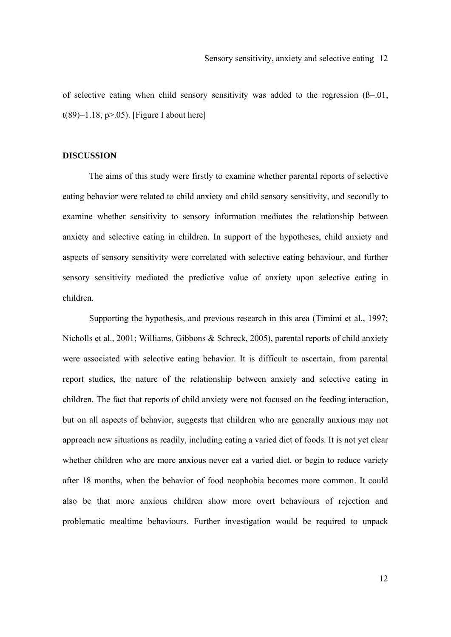of selective eating when child sensory sensitivity was added to the regression  $(\beta=0.01)$ , t(89)=1.18, p $> 0.05$ ). [Figure I about here]

# **DISCUSSION**

The aims of this study were firstly to examine whether parental reports of selective eating behavior were related to child anxiety and child sensory sensitivity, and secondly to examine whether sensitivity to sensory information mediates the relationship between anxiety and selective eating in children. In support of the hypotheses, child anxiety and aspects of sensory sensitivity were correlated with selective eating behaviour, and further sensory sensitivity mediated the predictive value of anxiety upon selective eating in children.

Supporting the hypothesis, and previous research in this area (Timimi et al., 1997; Nicholls et al., 2001; Williams, Gibbons & Schreck, 2005), parental reports of child anxiety were associated with selective eating behavior. It is difficult to ascertain, from parental report studies, the nature of the relationship between anxiety and selective eating in children. The fact that reports of child anxiety were not focused on the feeding interaction, but on all aspects of behavior, suggests that children who are generally anxious may not approach new situations as readily, including eating a varied diet of foods. It is not yet clear whether children who are more anxious never eat a varied diet, or begin to reduce variety after 18 months, when the behavior of food neophobia becomes more common. It could also be that more anxious children show more overt behaviours of rejection and problematic mealtime behaviours. Further investigation would be required to unpack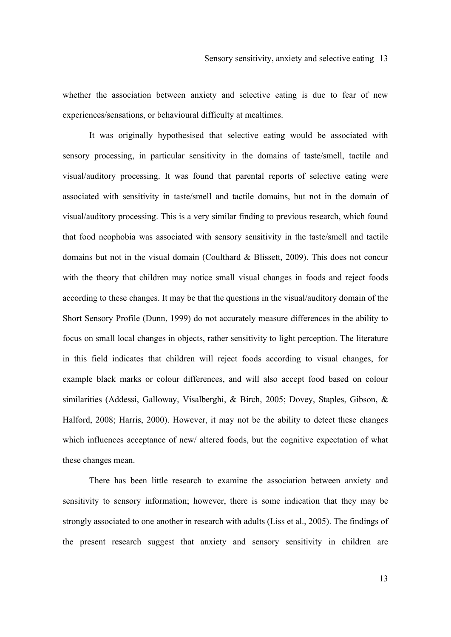whether the association between anxiety and selective eating is due to fear of new experiences/sensations, or behavioural difficulty at mealtimes.

It was originally hypothesised that selective eating would be associated with sensory processing, in particular sensitivity in the domains of taste/smell, tactile and visual/auditory processing. It was found that parental reports of selective eating were associated with sensitivity in taste/smell and tactile domains, but not in the domain of visual/auditory processing. This is a very similar finding to previous research, which found that food neophobia was associated with sensory sensitivity in the taste/smell and tactile domains but not in the visual domain (Coulthard & Blissett, 2009). This does not concur with the theory that children may notice small visual changes in foods and reject foods according to these changes. It may be that the questions in the visual/auditory domain of the Short Sensory Profile (Dunn, 1999) do not accurately measure differences in the ability to focus on small local changes in objects, rather sensitivity to light perception. The literature in this field indicates that children will reject foods according to visual changes, for example black marks or colour differences, and will also accept food based on colour similarities (Addessi, Galloway, Visalberghi, & Birch, 2005; Dovey, Staples, Gibson, & Halford, 2008; Harris, 2000). However, it may not be the ability to detect these changes which influences acceptance of new/ altered foods, but the cognitive expectation of what these changes mean.

There has been little research to examine the association between anxiety and sensitivity to sensory information; however, there is some indication that they may be strongly associated to one another in research with adults (Liss et al., 2005). The findings of the present research suggest that anxiety and sensory sensitivity in children are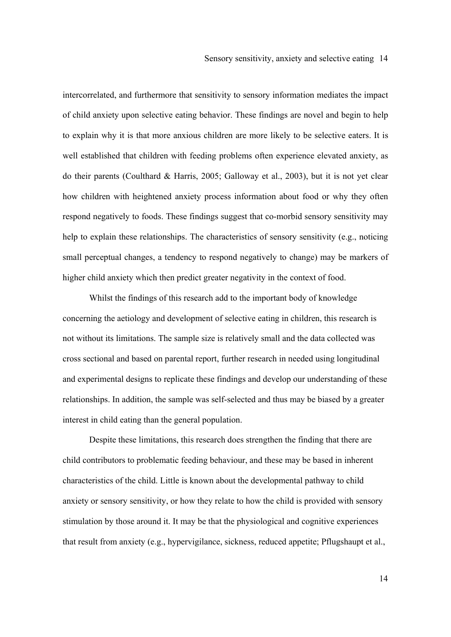intercorrelated, and furthermore that sensitivity to sensory information mediates the impact of child anxiety upon selective eating behavior. These findings are novel and begin to help to explain why it is that more anxious children are more likely to be selective eaters. It is well established that children with feeding problems often experience elevated anxiety, as do their parents (Coulthard & Harris, 2005; Galloway et al., 2003), but it is not yet clear how children with heightened anxiety process information about food or why they often respond negatively to foods. These findings suggest that co-morbid sensory sensitivity may help to explain these relationships. The characteristics of sensory sensitivity (e.g., noticing small perceptual changes, a tendency to respond negatively to change) may be markers of higher child anxiety which then predict greater negativity in the context of food.

Whilst the findings of this research add to the important body of knowledge concerning the aetiology and development of selective eating in children, this research is not without its limitations. The sample size is relatively small and the data collected was cross sectional and based on parental report, further research in needed using longitudinal and experimental designs to replicate these findings and develop our understanding of these relationships. In addition, the sample was self-selected and thus may be biased by a greater interest in child eating than the general population.

Despite these limitations, this research does strengthen the finding that there are child contributors to problematic feeding behaviour, and these may be based in inherent characteristics of the child. Little is known about the developmental pathway to child anxiety or sensory sensitivity, or how they relate to how the child is provided with sensory stimulation by those around it. It may be that the physiological and cognitive experiences that result from anxiety (e.g., hypervigilance, sickness, reduced appetite; Pflugshaupt et al.,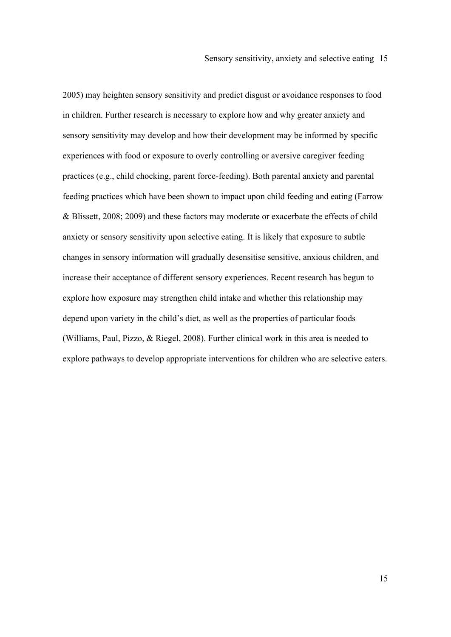2005) may heighten sensory sensitivity and predict disgust or avoidance responses to food in children. Further research is necessary to explore how and why greater anxiety and sensory sensitivity may develop and how their development may be informed by specific experiences with food or exposure to overly controlling or aversive caregiver feeding practices (e.g., child chocking, parent force-feeding). Both parental anxiety and parental feeding practices which have been shown to impact upon child feeding and eating (Farrow & Blissett, 2008; 2009) and these factors may moderate or exacerbate the effects of child anxiety or sensory sensitivity upon selective eating. It is likely that exposure to subtle changes in sensory information will gradually desensitise sensitive, anxious children, and increase their acceptance of different sensory experiences. Recent research has begun to explore how exposure may strengthen child intake and whether this relationship may depend upon variety in the child's diet, as well as the properties of particular foods (Williams, Paul, Pizzo, & Riegel, 2008). Further clinical work in this area is needed to explore pathways to develop appropriate interventions for children who are selective eaters.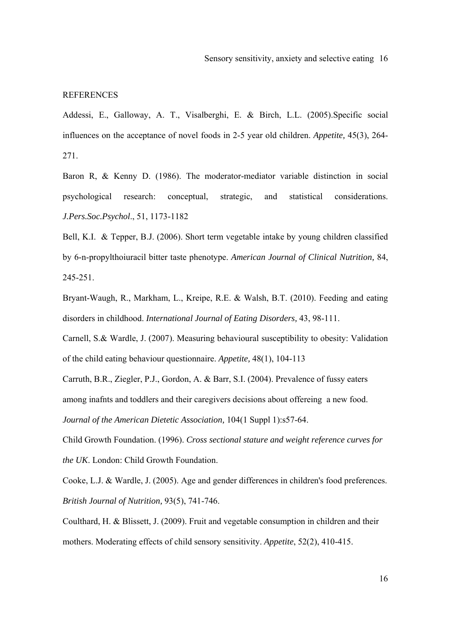### **REFERENCES**

Addessi, E., Galloway, A. T., Visalberghi, E. & Birch, L.L. (2005).Specific social influences on the acceptance of novel foods in 2-5 year old children. *Appetite,* 45(3), 264- 271.

Baron R, & Kenny D. (1986). The moderator-mediator variable distinction in social psychological research: conceptual, strategic, and statistical considerations. *J.Pers.Soc.Psychol*., 51, 1173-1182

Bell, K.I. & Tepper, B.J. (2006). Short term vegetable intake by young children classified by 6-n-propylthoiuracil bitter taste phenotype. *American Journal of Clinical Nutrition,* 84, 245-251.

Bryant-Waugh, R., Markham, L., Kreipe, R.E. & Walsh, B.T. (2010). Feeding and eating disorders in childhood. *International Journal of Eating Disorders,* 43, 98-111.

Carnell, S.& Wardle, J. (2007). Measuring behavioural susceptibility to obesity: Validation of the child eating behaviour questionnaire. *Appetite,* 48(1), 104-113

Carruth, B.R., Ziegler, P.J., Gordon, A. & Barr, S.I. (2004). Prevalence of fussy eaters among inafnts and toddlers and their caregivers decisions about offereing a new food. *Journal of the American Dietetic Association,* 104(1 Suppl 1):s57-64.

Child Growth Foundation. (1996). *Cross sectional stature and weight reference curves for the UK*. London: Child Growth Foundation.

Cooke, L.J. & Wardle, J. (2005). Age and gender differences in children's food preferences. *British Journal of Nutrition,* 93(5), 741-746.

Coulthard, H. & Blissett, J. (2009). Fruit and vegetable consumption in children and their mothers. Moderating effects of child sensory sensitivity. *Appetite*, 52(2), 410-415.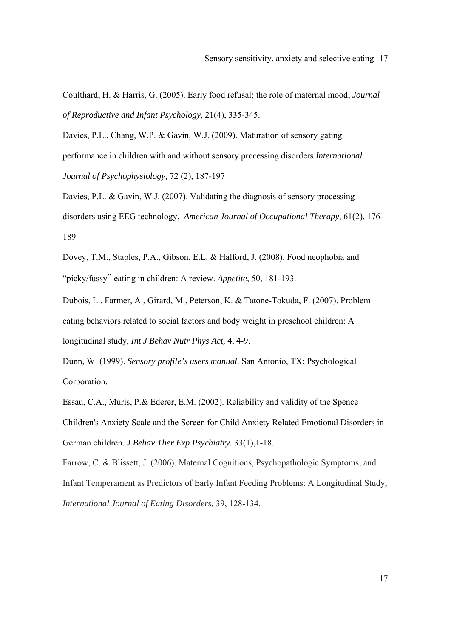Coulthard, H. & Harris, G. (2005). Early food refusal; the role of maternal mood, *Journal of Reproductive and Infant Psychology,* 21(4), 335-345.

Davies, P.L., Chang, W.P. & Gavin, W.J. (2009). Maturation of sensory gating performance in children with and without sensory processing disorders *International Journal of Psychophysiology,* 72 (2), 187-197

Davies, P.L. & Gavin, W.J. (2007). Validating the diagnosis of sensory processing disorders using EEG technology, *American Journal of Occupational Therapy,* 61(2), 176- 189

Dovey, T.M., Staples, P.A., Gibson, E.L. & Halford, J. (2008). Food neophobia and "picky/fussy" eating in children: A review. *Appetite,* 50, 181-193.

Dubois, L., Farmer, A., Girard, M., Peterson, K. & Tatone-Tokuda, F. (2007). Problem eating behaviors related to social factors and body weight in preschool children: A longitudinal study, *Int J Behav Nutr Phys Act,* 4, 4-9.

Dunn, W. (1999). *Sensory profile's users manual*. San Antonio, TX: Psychological Corporation.

Essau, C.A., Muris, P.& Ederer, E.M. (2002). Reliability and validity of the Spence Children's Anxiety Scale and the Screen for Child Anxiety Related Emotional Disorders in German children. *J Behav Ther Exp Psychiatry.* 33(1),1-18.

Farrow, C. & Blissett, J. (2006). Maternal Cognitions, Psychopathologic Symptoms, and Infant Temperament as Predictors of Early Infant Feeding Problems: A Longitudinal Study, *International Journal of Eating Disorders,* 39, 128-134.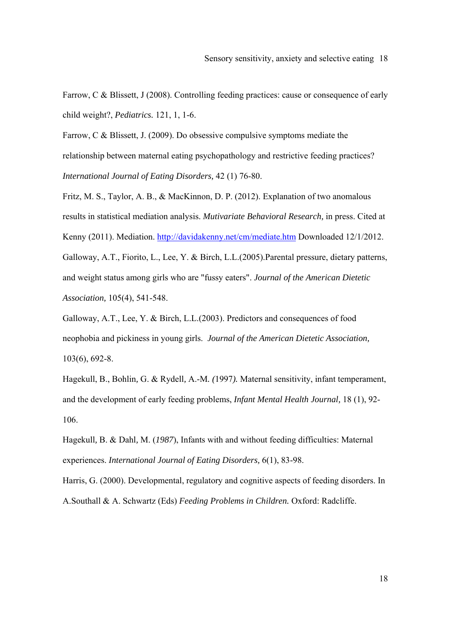Farrow, C & Blissett, J (2008). Controlling feeding practices: cause or consequence of early child weight?, *Pediatrics.* 121, 1, 1-6.

Farrow, C & Blissett, J. (2009). Do obsessive compulsive symptoms mediate the relationship between maternal eating psychopathology and restrictive feeding practices? *International Journal of Eating Disorders,* 42 (1) 76-80.

Fritz, M. S., Taylor, A. B., & MacKinnon, D. P. (2012). Explanation of two anomalous results in statistical mediation analysis. *Mutivariate Behavioral Research,* in press. Cited at Kenny (2011). Mediation. http://davidakenny.net/cm/mediate.htm Downloaded 12/1/2012. Galloway, A.T., Fiorito, L., Lee, Y. & Birch, L.L.(2005).Parental pressure, dietary patterns, and weight status among girls who are "fussy eaters". *Journal of the American Dietetic Association,* 105(4), 541-548.

Galloway, A.T., Lee, Y. & Birch, L.L.(2003). Predictors and consequences of food neophobia and pickiness in young girls. *Journal of the American Dietetic Association,*  103(6), 692-8.

Hagekull, B., Bohlin*,* G. & Rydell*,* A.-M*. (*1997*).* Maternal sensitivity, infant temperament, and the development of early feeding problems, *Infant Mental Health Journal,* 18 (1), 92- 106.

Hagekull*,* B. & Dahl*,* M. (*1987*), Infants with and without feeding difficulties: Maternal experiences. *International Journal of Eating Disorders,* 6(1), 83-98.

Harris, G. (2000). Developmental, regulatory and cognitive aspects of feeding disorders. In A.Southall & A. Schwartz (Eds) *Feeding Problems in Children.* Oxford: Radcliffe.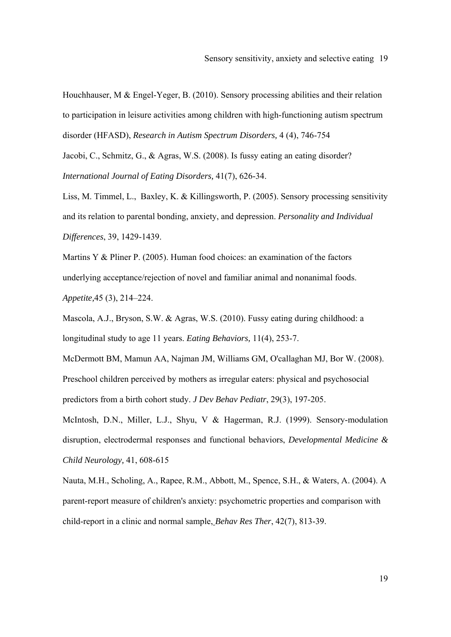Houchhauser, M & Engel-Yeger, B. (2010). Sensory processing abilities and their relation to participation in leisure activities among children with high-functioning autism spectrum disorder (HFASD), *Research in Autism Spectrum Disorders,* 4 (4), 746-754

Jacobi, C., Schmitz, G., & Agras, W.S. (2008). Is fussy eating an eating disorder? *International Journal of Eating Disorders,* 41(7), 626-34.

Liss, M. Timmel, L., Baxley, K. & Killingsworth, P. (2005). Sensory processing sensitivity and its relation to parental bonding, anxiety, and depression. *Personality and Individual Differences*, 39, 1429-1439.

Martins Y & Pliner P. (2005). Human food choices: an examination of the factors underlying acceptance/rejection of novel and familiar animal and nonanimal foods. *Appetite,*45 (3), 214–224.

Mascola, A.J., Bryson, S.W. & Agras, W.S. (2010). Fussy eating during childhood: a longitudinal study to age 11 years. *Eating Behaviors,* 11(4), 253-7.

McDermott BM, Mamun AA, Najman JM, Williams GM, O'callaghan MJ, Bor W. (2008). Preschool children perceived by mothers as irregular eaters: physical and psychosocial predictors from a birth cohort study. *J Dev Behav Pediatr*, 29(3), 197-205.

McIntosh, D.N., Miller, L.J., Shyu, V & Hagerman, R.J. (1999). Sensory-modulation disruption, electrodermal responses and functional behaviors, *Developmental Medicine & Child Neurology,* 41, 608-615

Nauta, M.H., Scholing, A., Rapee, R.M., Abbott, M., Spence, S.H., & Waters, A. (2004). A parent-report measure of children's anxiety: psychometric properties and comparison with child-report in a clinic and normal sample, *Behav Res Ther*, 42(7), 813-39.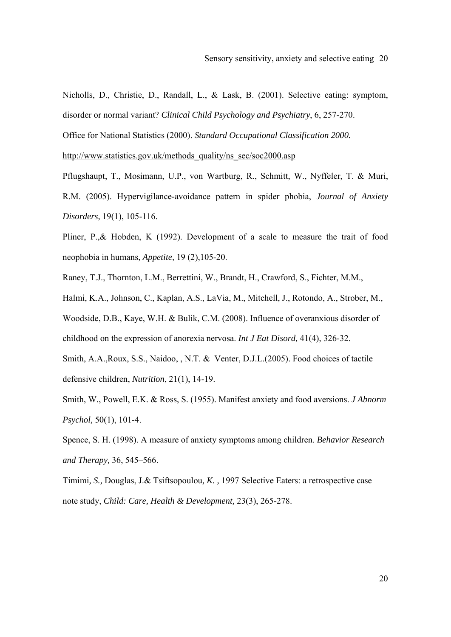Nicholls, D., Christie, D., Randall, L., & Lask, B. (2001). Selective eating: symptom, disorder or normal variant? *Clinical Child Psychology and Psychiatry*, 6, 257-270.

Office for National Statistics (2000). *Standard Occupational Classification 2000.*

http://www.statistics.gov.uk/methods\_quality/ns\_sec/soc2000.asp

Pflugshaupt, T., Mosimann, U.P., von Wartburg, R., Schmitt, W., Nyffeler, T. & Muri, R.M. (2005). Hypervigilance-avoidance pattern in spider phobia, *Journal of Anxiety Disorders,* 19(1), 105-116.

Pliner, P.,& Hobden, K (1992). Development of a scale to measure the trait of food neophobia in humans, *Appetite,* 19 (2),105-20.

Raney, T.J., Thornton, L.M., Berrettini, W., Brandt, H., Crawford, S., Fichter, M.M.,

Halmi, K.A., Johnson, C., Kaplan, A.S., LaVia, M., Mitchell, J., Rotondo, A., Strober, M.,

Woodside, D.B., Kaye, W.H. & Bulik, C.M. (2008). Influence of overanxious disorder of

childhood on the expression of anorexia nervosa. *Int J Eat Disord,* 41(4), 326-32.

Smith, A.A.,Roux, S.S., Naidoo, , N.T. & Venter, D.J.L.(2005). Food choices of tactile defensive children, *Nutrition*, 21(1), 14-19.

Smith, W., Powell, E.K. & Ross, S. (1955). Manifest anxiety and food aversions. *J Abnorm Psychol,* 50(1), 101-4.

Spence, S. H. (1998). A measure of anxiety symptoms among children. *Behavior Research and Therapy,* 36, 545–566.

Timimi*, S.,* Douglas, J.& Tsiftsopoulou*, K. ,* 1997 Selective Eaters: a retrospective case note study, *Child: Care, Health & Development,* 23(3), 265-278.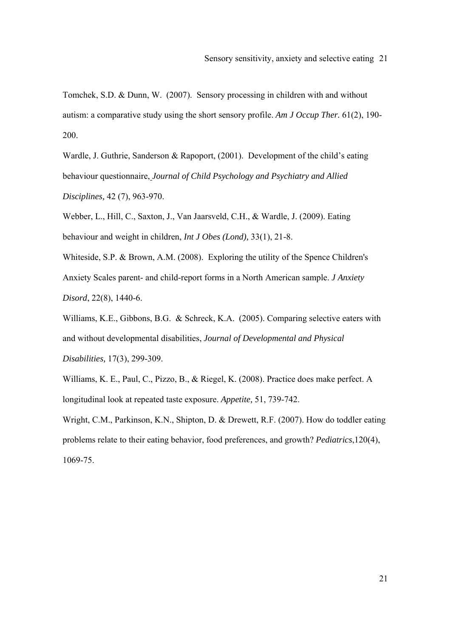Tomchek, S.D. & Dunn, W. (2007). Sensory processing in children with and without autism: a comparative study using the short sensory profile. *Am J Occup Ther.* 61(2), 190- 200.

Wardle, J. Guthrie, Sanderson & Rapoport, (2001). Development of the child's eating behaviour questionnaire, *Journal of Child Psychology and Psychiatry and Allied Disciplines,* 42 (7), 963-970.

Webber, L., Hill, C., Saxton, J., Van Jaarsveld, C.H., & Wardle, J. (2009). Eating behaviour and weight in children, *Int J Obes (Lond),* 33(1), 21-8.

Whiteside, S.P. & Brown, A.M. (2008). Exploring the utility of the Spence Children's Anxiety Scales parent- and child-report forms in a North American sample. *J Anxiety Disord*, 22(8), 1440-6.

Williams, K.E., Gibbons, B.G. & Schreck, K.A. (2005). Comparing selective eaters with and without developmental disabilities, *Journal of Developmental and Physical Disabilities,* 17(3), 299-309.

Williams, K. E., Paul, C., Pizzo, B., & Riegel, K. (2008). Practice does make perfect. A longitudinal look at repeated taste exposure. *Appetite,* 51, 739-742.

Wright, C.M., Parkinson, K.N., Shipton, D. & Drewett, R.F. (2007). How do toddler eating problems relate to their eating behavior, food preferences, and growth? *Pediatrics*,120(4), 1069-75.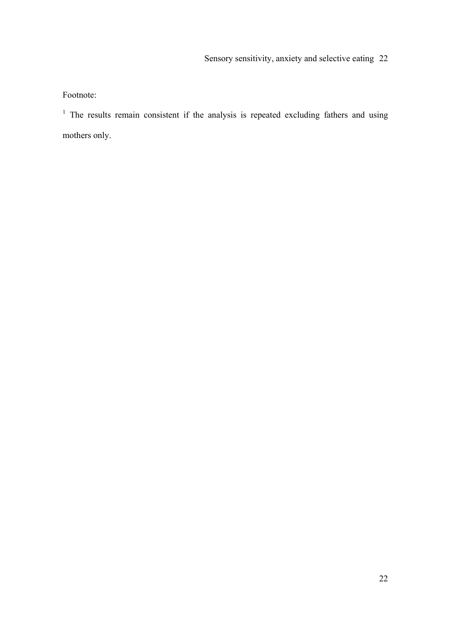Footnote:

<sup>1</sup> The results remain consistent if the analysis is repeated excluding fathers and using mothers only.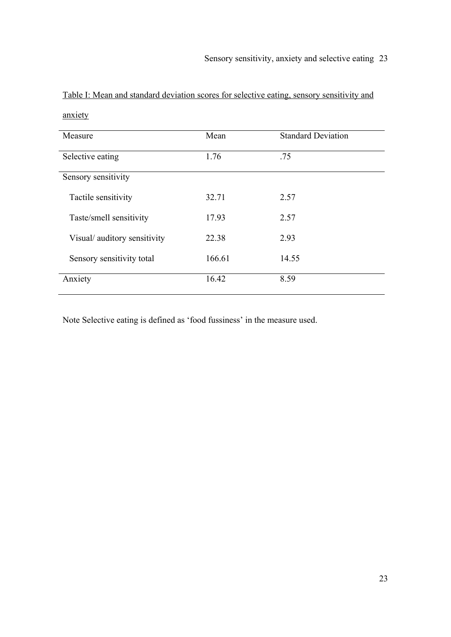| Measure                     | Mean   | <b>Standard Deviation</b> |  |
|-----------------------------|--------|---------------------------|--|
| Selective eating            | 1.76   | .75                       |  |
| Sensory sensitivity         |        |                           |  |
| Tactile sensitivity         | 32.71  | 2.57                      |  |
| Taste/smell sensitivity     | 17.93  | 2.57                      |  |
| Visual/auditory sensitivity | 22.38  | 2.93                      |  |
| Sensory sensitivity total   | 166.61 | 14.55                     |  |
| Anxiety                     | 16.42  | 8.59                      |  |

Table I: Mean and standard deviation scores for selective eating, sensory sensitivity and anxiety

Note Selective eating is defined as 'food fussiness' in the measure used.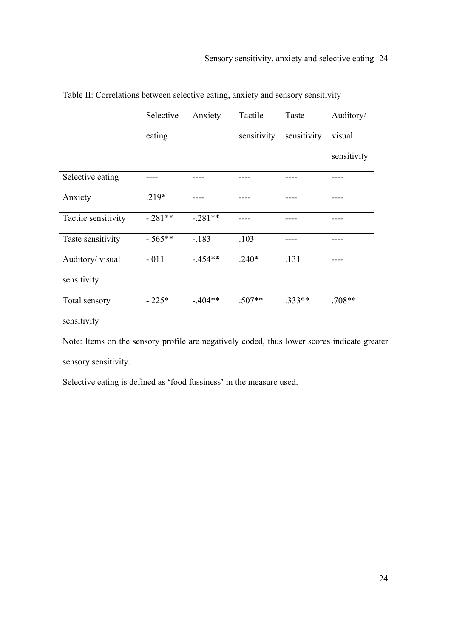|                     | Selective | Anxiety   | Tactile     | Taste       | Auditory/   |
|---------------------|-----------|-----------|-------------|-------------|-------------|
|                     | eating    |           | sensitivity | sensitivity | visual      |
|                     |           |           |             |             | sensitivity |
| Selective eating    |           |           |             |             |             |
| Anxiety             | $.219*$   |           |             |             |             |
| Tactile sensitivity | $-.281**$ | $-.281**$ |             |             |             |
| Taste sensitivity   | $-.565**$ | $-.183$   | .103        |             |             |
| Auditory/visual     | $-.011$   | $-454**$  | $.240*$     | .131        |             |
| sensitivity         |           |           |             |             |             |
| Total sensory       | $-.225*$  | $-404**$  | $.507**$    | $.333**$    | $.708**$    |
| sensitivity         |           |           |             |             |             |

Table II: Correlations between selective eating, anxiety and sensory sensitivity

Note: Items on the sensory profile are negatively coded, thus lower scores indicate greater sensory sensitivity.

Selective eating is defined as 'food fussiness' in the measure used.